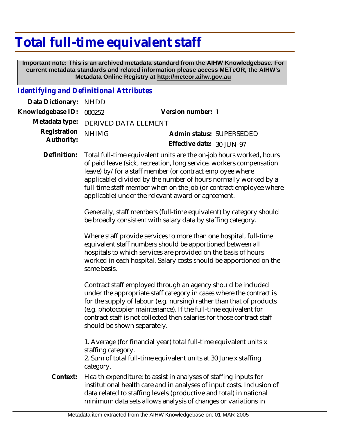# **Total full-time equivalent staff**

 **Important note: This is an archived metadata standard from the AIHW Knowledgebase. For current metadata standards and related information please access METeOR, the AIHW's Metadata Online Registry at http://meteor.aihw.gov.au**

### *Identifying and Definitional Attributes*

| Data Dictionary: NHDD            |                                     |                           |                          |
|----------------------------------|-------------------------------------|---------------------------|--------------------------|
| Knowledgebase ID: 000252         |                                     | Version number: 1         |                          |
|                                  | Metadata type: DERIVED DATA ELEMENT |                           |                          |
| Registration NHIMG<br>Authority: |                                     |                           | Admin status: SUPERSEDED |
|                                  |                                     | Effective date: 30-JUN-97 |                          |
|                                  |                                     |                           |                          |

Total full-time equivalent units are the on-job hours worked, hours of paid leave (sick, recreation, long service, workers compensation leave) by/for a staff member (or contract employee where applicable) divided by the number of hours normally worked by a full-time staff member when on the job (or contract employee where applicable) under the relevant award or agreement. **Definition:**

> Generally, staff members (full-time equivalent) by category should be broadly consistent with salary data by staffing category.

> Where staff provide services to more than one hospital, full-time equivalent staff numbers should be apportioned between all hospitals to which services are provided on the basis of hours worked in each hospital. Salary costs should be apportioned on the same basis.

Contract staff employed through an agency should be included under the appropriate staff category in cases where the contract is for the supply of labour (e.g. nursing) rather than that of products (e.g. photocopier maintenance). If the full-time equivalent for contract staff is not collected then salaries for those contract staff should be shown separately.

1. Average (for financial year) total full-time equivalent units x staffing category.

2. Sum of total full-time equivalent units at 30 June x staffing category.

Health expenditure: to assist in analyses of staffing inputs for institutional health care and in analyses of input costs. Inclusion of data related to staffing levels (productive and total) in national minimum data sets allows analysis of changes or variations in **Context:**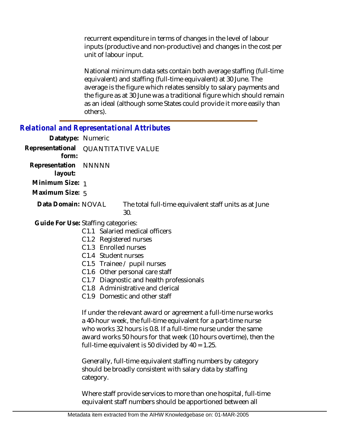recurrent expenditure in terms of changes in the level of labour inputs (productive and non-productive) and changes in the cost per unit of labour input.

National minimum data sets contain both average staffing (full-time equivalent) and staffing (full-time equivalent) at 30 June. The average is the figure which relates sensibly to salary payments and the figure as at 30 June was a traditional figure which should remain as an ideal (although some States could provide it more easily than others).

## *Relational and Representational Attributes*

| Datatype: Numeric                            |                                                              |
|----------------------------------------------|--------------------------------------------------------------|
| Representational QUANTITATIVE VALUE<br>form: |                                                              |
| Representation NNNNN<br>layout:              |                                                              |
| Minimum Size: 1                              |                                                              |
| Maximum Size: 5                              |                                                              |
| Data Domain: NOVAL                           | The total full-time equivalent staff units as at June<br>30. |
|                                              |                                                              |

Guide For Use: Staffing categories:

- C1.1 Salaried medical officers
- C1.2 Registered nurses
- C1.3 Enrolled nurses
- C1.4 Student nurses
- C1.5 Trainee / pupil nurses
- C1.6 Other personal care staff
- C1.7 Diagnostic and health professionals
- C1.8 Administrative and clerical
- C1.9 Domestic and other staff

If under the relevant award or agreement a full-time nurse works a 40-hour week, the full-time equivalent for a part-time nurse who works 32 hours is 0.8. If a full-time nurse under the same award works 50 hours for that week (10 hours overtime), then the full-time equivalent is 50 divided by  $40 = 1.25$ .

Generally, full-time equivalent staffing numbers by category should be broadly consistent with salary data by staffing category.

Where staff provide services to more than one hospital, full-time equivalent staff numbers should be apportioned between all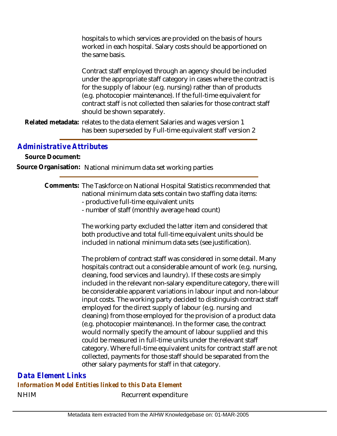hospitals to which services are provided on the basis of hours worked in each hospital. Salary costs should be apportioned on the same basis.

Contract staff employed through an agency should be included under the appropriate staff category in cases where the contract is for the supply of labour (e.g. nursing) rather than of products (e.g. photocopier maintenance). If the full-time equivalent for contract staff is not collected then salaries for those contract staff should be shown separately.

Related metadata: relates to the data element Salaries and wages version 1 has been superseded by Full-time equivalent staff version 2

## *Administrative Attributes*

**Source Document:**

**Source Organisation:** National minimum data set working parties

#### Comments: The Taskforce on National Hospital Statistics recommended that national minimum data sets contain two staffing data items:

- productive full-time equivalent units
- number of staff (monthly average head count)

The working party excluded the latter item and considered that both productive and total full-time equivalent units should be included in national minimum data sets (see justification).

The problem of contract staff was considered in some detail. Many hospitals contract out a considerable amount of work (e.g. nursing, cleaning, food services and laundry). If these costs are simply included in the relevant non-salary expenditure category, there will be considerable apparent variations in labour input and non-labour input costs. The working party decided to distinguish contract staff employed for the direct supply of labour (e.g. nursing and cleaning) from those employed for the provision of a product data (e.g. photocopier maintenance). In the former case, the contract would normally specify the amount of labour supplied and this could be measured in full-time units under the relevant staff category. Where full-time equivalent units for contract staff are not collected, payments for those staff should be separated from the other salary payments for staff in that category.

## NHIM Recurrent expenditure *Data Element Links Information Model Entities linked to this Data Element*